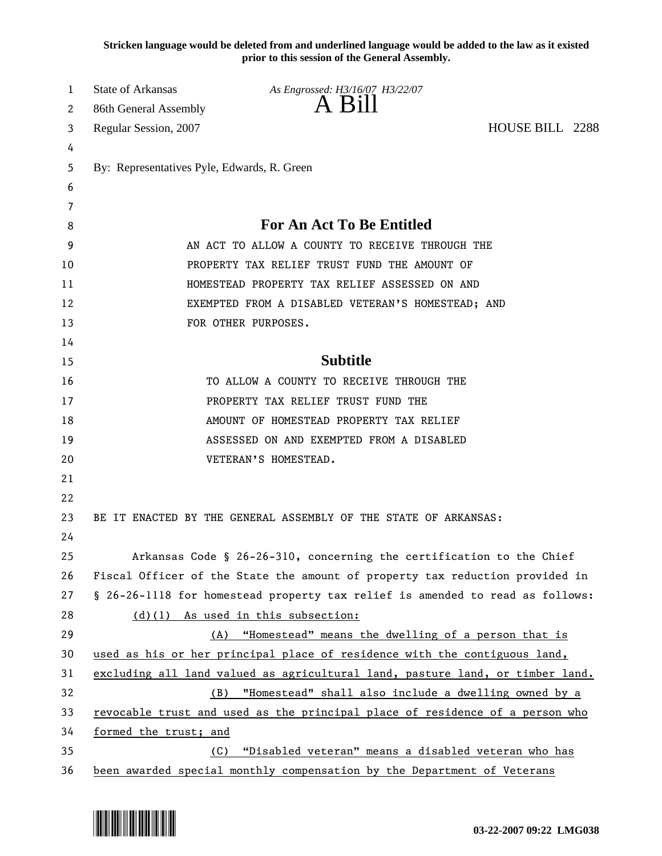**Stricken language would be deleted from and underlined language would be added to the law as it existed prior to this session of the General Assembly.**

| 1  | <b>State of Arkansas</b>                                                      | As Engrossed: H3/16/07 H3/22/07                                      |                 |  |
|----|-------------------------------------------------------------------------------|----------------------------------------------------------------------|-----------------|--|
| 2  | 86th General Assembly                                                         | A Bill                                                               |                 |  |
| 3  | Regular Session, 2007                                                         |                                                                      | HOUSE BILL 2288 |  |
| 4  |                                                                               |                                                                      |                 |  |
| 5  | By: Representatives Pyle, Edwards, R. Green                                   |                                                                      |                 |  |
| 6  |                                                                               |                                                                      |                 |  |
| 7  |                                                                               |                                                                      |                 |  |
| 8  | <b>For An Act To Be Entitled</b>                                              |                                                                      |                 |  |
| 9  | AN ACT TO ALLOW A COUNTY TO RECEIVE THROUGH THE                               |                                                                      |                 |  |
| 10 | PROPERTY TAX RELIEF TRUST FUND THE AMOUNT OF                                  |                                                                      |                 |  |
| 11 | HOMESTEAD PROPERTY TAX RELIEF ASSESSED ON AND                                 |                                                                      |                 |  |
| 12 | EXEMPTED FROM A DISABLED VETERAN'S HOMESTEAD; AND                             |                                                                      |                 |  |
| 13 |                                                                               | FOR OTHER PURPOSES.                                                  |                 |  |
| 14 |                                                                               |                                                                      |                 |  |
| 15 |                                                                               | <b>Subtitle</b>                                                      |                 |  |
| 16 |                                                                               | TO ALLOW A COUNTY TO RECEIVE THROUGH THE                             |                 |  |
| 17 | PROPERTY TAX RELIEF TRUST FUND THE                                            |                                                                      |                 |  |
| 18 | AMOUNT OF HOMESTEAD PROPERTY TAX RELIEF                                       |                                                                      |                 |  |
| 19 |                                                                               | ASSESSED ON AND EXEMPTED FROM A DISABLED                             |                 |  |
| 20 |                                                                               | VETERAN'S HOMESTEAD.                                                 |                 |  |
| 21 |                                                                               |                                                                      |                 |  |
| 22 |                                                                               |                                                                      |                 |  |
| 23 | BE IT ENACTED BY THE GENERAL ASSEMBLY OF THE STATE OF ARKANSAS:               |                                                                      |                 |  |
| 24 |                                                                               |                                                                      |                 |  |
| 25 |                                                                               | Arkansas Code § 26-26-310, concerning the certification to the Chief |                 |  |
| 26 | Fiscal Officer of the State the amount of property tax reduction provided in  |                                                                      |                 |  |
| 27 | § 26-26-1118 for homestead property tax relief is amended to read as follows: |                                                                      |                 |  |
| 28 |                                                                               | (d)(1) As used in this subsection:                                   |                 |  |
| 29 | "Homestead" means the dwelling of a person that is<br>(A)                     |                                                                      |                 |  |
| 30 | used as his or her principal place of residence with the contiguous land,     |                                                                      |                 |  |
| 31 | excluding all land valued as agricultural land, pasture land, or timber land. |                                                                      |                 |  |
| 32 | "Homestead" shall also include a dwelling owned by a<br>(B)                   |                                                                      |                 |  |
| 33 | revocable trust and used as the principal place of residence of a person who  |                                                                      |                 |  |
| 34 | formed the trust; and                                                         |                                                                      |                 |  |
| 35 | "Disabled veteran" means a disabled veteran who has<br>(C)                    |                                                                      |                 |  |
| 36 | been awarded special monthly compensation by the Department of Veterans       |                                                                      |                 |  |